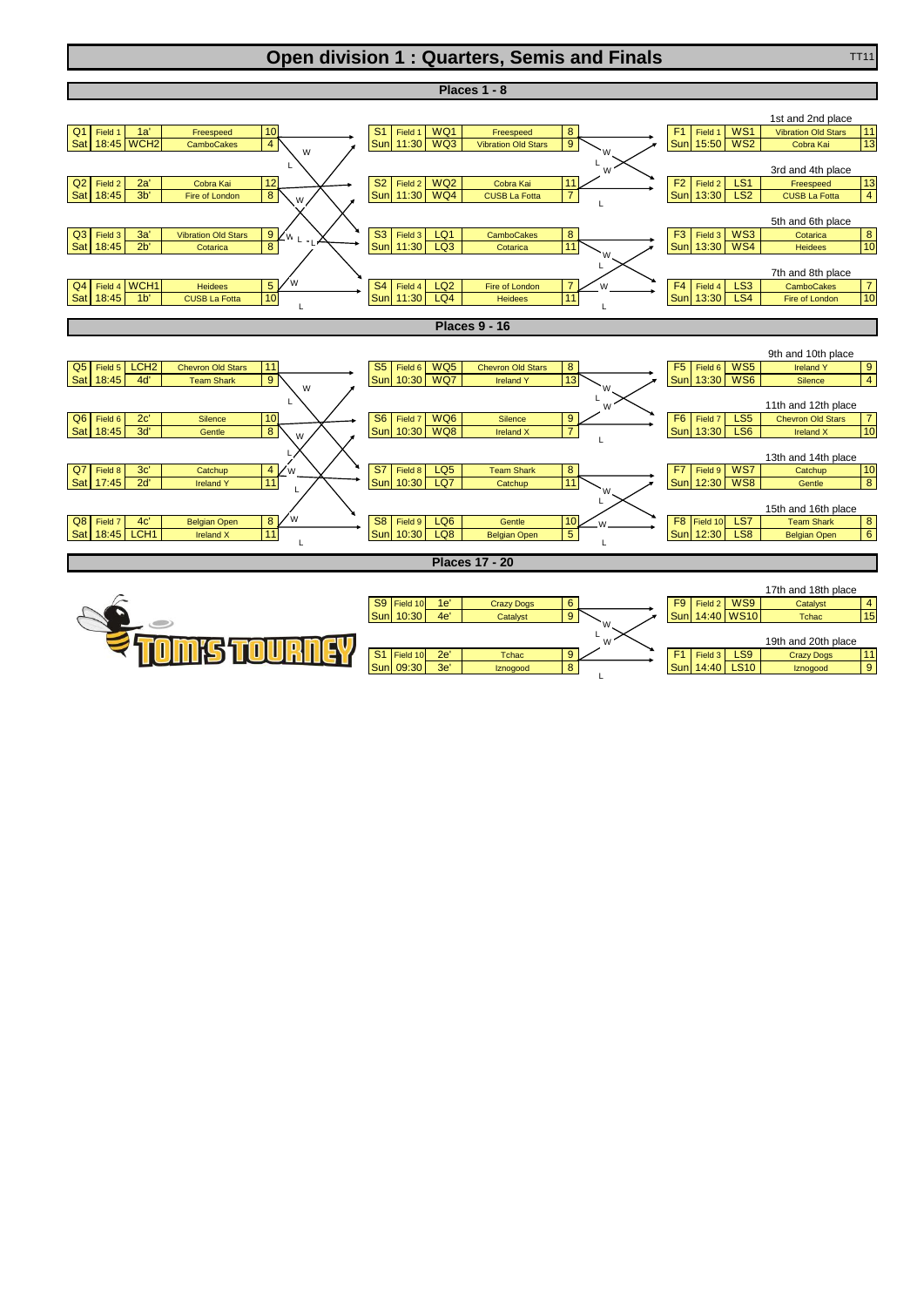## **Open division 1 : Quarters, Semis and Finals** TT11